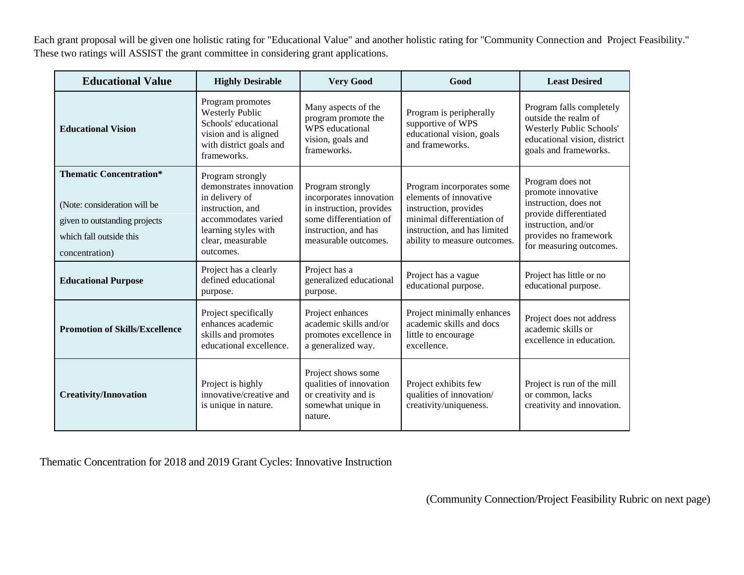Each grant proposal will be given one holistic rating for "Educational Value" and another holistic rating for "Community Connection and Project Feasibility." These two ratings will ASSIST the grant committee in considering grant applications.

| <b>Educational Value</b>                                                                                                                     | <b>Highly Desirable</b>                                                                                                                                            | <b>Very Good</b>                                                                                                                                   | Good                                                                                                                                                                       | <b>Least Desired</b>                                                                                                                                                 |
|----------------------------------------------------------------------------------------------------------------------------------------------|--------------------------------------------------------------------------------------------------------------------------------------------------------------------|----------------------------------------------------------------------------------------------------------------------------------------------------|----------------------------------------------------------------------------------------------------------------------------------------------------------------------------|----------------------------------------------------------------------------------------------------------------------------------------------------------------------|
| <b>Educational Vision</b>                                                                                                                    | Program promotes<br><b>Westerly Public</b><br>Schools' educational<br>vision and is aligned<br>with district goals and<br>frameworks.                              | Many aspects of the<br>program promote the<br>WPS educational<br>vision, goals and<br>frameworks.                                                  | Program is peripherally<br>supportive of WPS<br>educational vision, goals<br>and frameworks.                                                                               | Program falls completely<br>outside the realm of<br><b>Westerly Public Schools'</b><br>educational vision, district<br>goals and frameworks.                         |
| <b>Thematic Concentration*</b><br>(Note: consideration will be<br>given to outstanding projects<br>which fall outside this<br>concentration) | Program strongly<br>demonstrates innovation<br>in delivery of<br>instruction, and<br>accommodates varied<br>learning styles with<br>clear, measurable<br>outcomes. | Program strongly<br>incorporates innovation<br>in instruction, provides<br>some differentiation of<br>instruction, and has<br>measurable outcomes. | Program incorporates some<br>elements of innovative<br>instruction, provides<br>minimal differentiation of<br>instruction, and has limited<br>ability to measure outcomes. | Program does not<br>promote innovative<br>instruction, does not<br>provide differentiated<br>instruction, and/or<br>provides no framework<br>for measuring outcomes. |
| <b>Educational Purpose</b>                                                                                                                   | Project has a clearly<br>defined educational<br>purpose.                                                                                                           | Project has a<br>generalized educational<br>purpose.                                                                                               | Project has a vague<br>educational purpose.                                                                                                                                | Project has little or no<br>educational purpose.                                                                                                                     |
| <b>Promotion of Skills/Excellence</b>                                                                                                        | Project specifically<br>enhances academic<br>skills and promotes<br>educational excellence.                                                                        | Project enhances<br>academic skills and/or<br>promotes excellence in<br>a generalized way.                                                         | Project minimally enhances<br>academic skills and docs<br>little to encourage<br>excellence.                                                                               | Project does not address<br>academic skills or<br>excellence in education.                                                                                           |
| <b>Creativity/Innovation</b>                                                                                                                 | Project is highly<br>innovative/creative and<br>is unique in nature.                                                                                               | Project shows some<br>qualities of innovation<br>or creativity and is<br>somewhat unique in<br>nature.                                             | Project exhibits few<br>qualities of innovation/<br>creativity/uniqueness.                                                                                                 | Project is run of the mill<br>or common, lacks<br>creativity and innovation.                                                                                         |

Thematic Concentration for 2018 and 2019 Grant Cycles: Innovative Instruction

(Community Connection/Project Feasibility Rubric on next page)